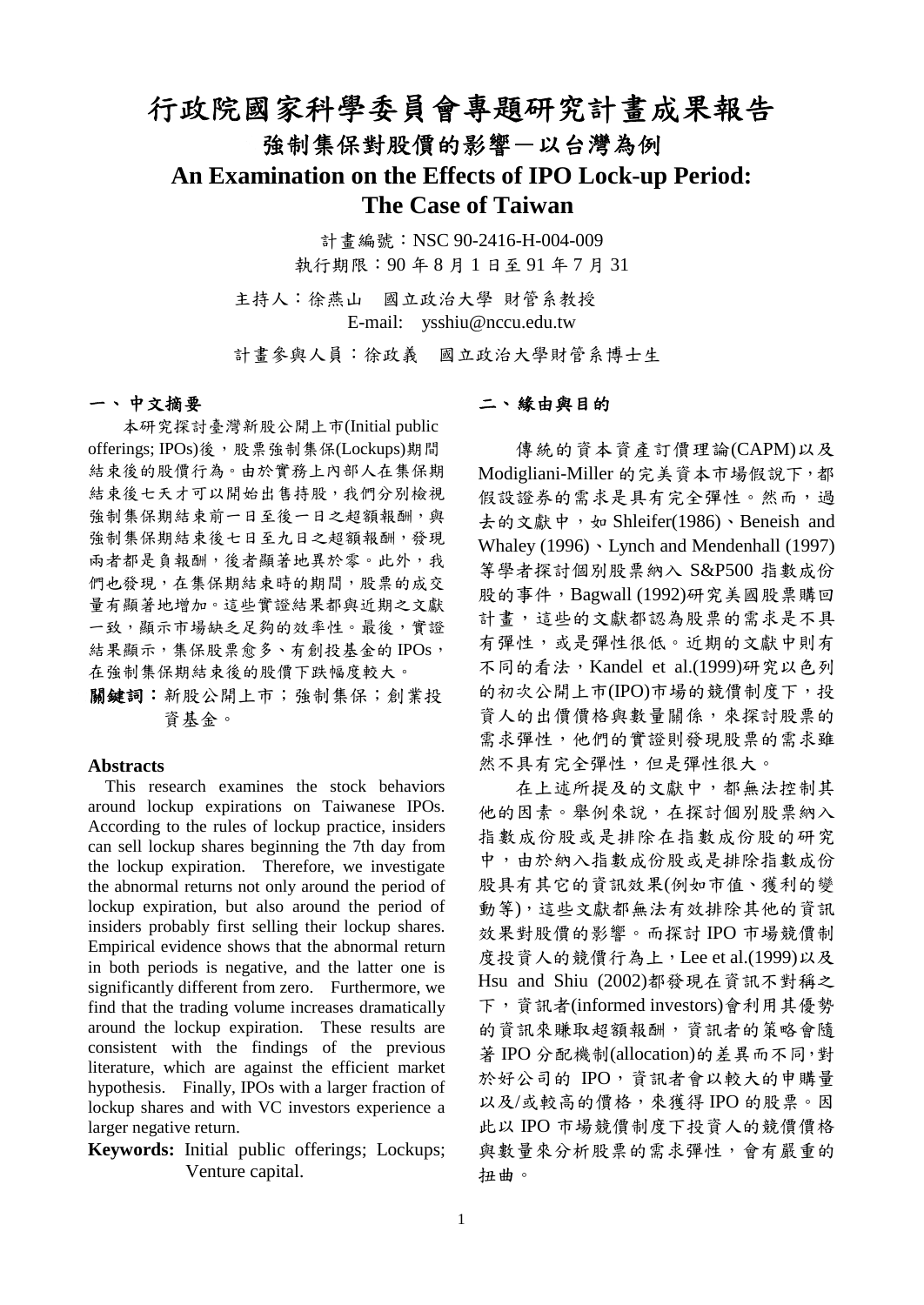# 行政院國家科學委員會專題研究計畫成果報告 強制集保對股價的影響一以台灣為例 **An Examination on the Effects of IPO Lock-up Period: The Case of Taiwan**

計畫編號:NSC 90-2416-H-004-009 執行期限:90 年 8 月 1 日至 91 年 7 月 31

主持人:徐燕山 國立政治大學 財管系教授 E-mail: ysshiu@nccu.edu.tw

計畫參與人員:徐政義 國立政治大學財管系博士生

### 一、中文摘要

本研究探討臺灣新股公開上市(Initial public offerings; IPOs)後,股票強制集保(Lockups)期間 結束後的股價行為。由於實務上內部人在集保期 結束後七天才可以開始出售持股,我們分別檢視 強制集保期結束前一日至後一日之超額報酬,與 強制集保期結束後七日至九日之超額報酬,發現 兩者都是負報酬,後者顯著地異於零。此外,我 們也發現,在集保期結束時的期間,股票的成交 量有顯著地增加。這些實證結果都與近期之文獻 一致,顯示市場缺乏足夠的效率性。最後,實證 結果顯示,集保股票愈多、有創投基金的IPOs, 在強制集保期結束後的股價下跌幅度較大。

關鍵詞:新股公開上市;強制集保;創業投 資基金。

#### **Abstracts**

This research examines the stock behaviors around lockup expirations on Taiwanese IPOs. According to the rules of lockup practice, insiders can sell lockup shares beginning the 7th day from the lockup expiration. Therefore, we investigate the abnormal returns not only around the period of lockup expiration, but also around the period of insiders probably first selling their lockup shares. Empirical evidence shows that the abnormal return in both periods is negative, and the latter one is significantly different from zero. Furthermore, we find that the trading volume increases dramatically around the lockup expiration. These results are consistent with the findings of the previous literature, which are against the efficient market hypothesis. Finally, IPOs with a larger fraction of lockup shares and with VC investors experience a larger negative return.

**Keywords:** Initial public offerings; Lockups; Venture capital.

#### 二、緣由與目的

 傳統的資本資產訂價理論(CAPM)以及 Modigliani-Miller 的完美資本市場假說下,都 假設證券的需求是具有完全彈性。然而,過 去的文獻中,如 Shleifer(1986)、Beneish and Whaley  $(1996)$  · Lynch and Mendenhall  $(1997)$ 等學者探討個別股票納入 S&P500 指數成份 股的事件,Bagwall (1992)研究美國股票購回 計畫,這些的文獻都認為股票的需求是不具 有彈性,或是彈性很低。近期的文獻中則有 不同的看法, Kandel et al.(1999)研究以色列 的初次公開上市(IPO)市場的競價制度下,投 資人的出價價格與數量關係,來探討股票的 需求彈性,他們的實證則發現股票的需求雖 然不具有完全彈性,但是彈性很大。

 在上述所提及的文獻中,都無法控制其 他的因素。舉例來說,在探討個別股票納入 指數成份股或是排除在指數成份股的研究 中,由於納入指數成份股或是排除指數成份 股具有其它的資訊效果(例如市值、獲利的變 動等),這些文獻都無法有效排除其他的資訊 效果對股價的影響。而探討 IPO 市場競價制 度投資人的競價行為上,Lee et al.(1999)以及 Hsu and Shiu (2002)都發現在資訊不對稱之 下,資訊者(informed investors)會利用其優勢 的資訊來賺取超額報酬,資訊者的策略會隨 著 IPO 分配機制(allocation)的差異而不同,對 於好公司的 IPO,資訊者會以較大的申購量 以及/或較高的價格,來獲得 IPO 的股票。因 此以 IPO 市場競價制度下投資人的競價價格 與數量來分析股票的需求彈性,會有嚴重的 扭曲。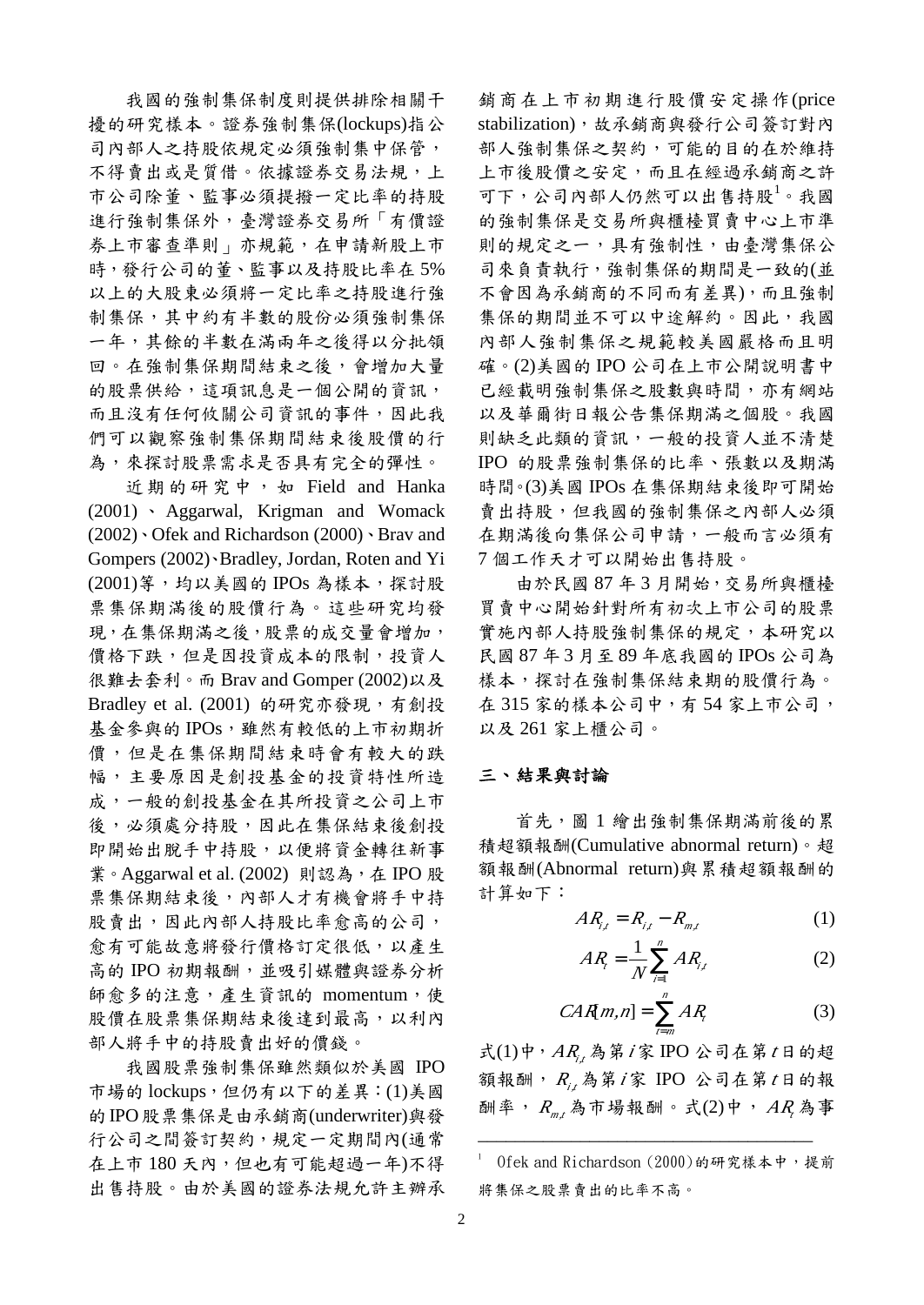我國的強制集保制度則提供排除相關干 擾的研究樣本。證券強制集保(lockups)指公 司內部人之持股依規定必須強制集中保管, 不得賣出或是質借。依據證券交易法規,上 市公司除董、監事必須提撥一定比率的持股 進行強制集保外,臺灣證券交易所「有價證 券上市審查準則」亦規範,在申請新股上市 時,發行公司的董、監事以及持股比率在 5% 以上的大股東必須將一定比率之持股進行強 制集保,其中約有半數的股份必須強制集保 一年,其餘的半數在滿兩年之後得以分批領 回。在強制集保期間結束之後,會增加大量 的股票供給,這項訊息是一個公開的資訊, 而且沒有任何攸關公司資訊的事件,因此我 們可以觀察強制集保期間結束後股價的行 為,來探討股票需求是否具有完全的彈性。

 近期的研究中,如 Field and Hanka (2001) 、 Aggarwal, Krigman and Womack (2002)、Ofek and Richardson (2000)、Brav and Gompers (2002)、Bradley, Jordan, Roten and Yi (2001)等,均以美國的 IPOs 為樣本,探討股 票集保期滿後的股價行為。這些研究均發 現,在集保期滿之後,股票的成交量會增加, 價格下跌,但是因投資成本的限制,投資人 很難去套利。而 Brav and Gomper (2002)以及 Bradley et al.  $(2001)$  的研究亦發現, 有創投 基金參與的IPOs,雖然有較低的上市初期折 價,但是在集保期間結束時會有較大的跌 幅,主要原因是創投基金的投資特性所造 成,一般的創投基金在其所投資之公司上市 後,必須處分持股,因此在集保結束後創投 即開始出脫手中持股,以便將資金轉往新事 業。Aggarwal et al. (2002) 則認為,在 IPO 股 票集保期結束後,內部人才有機會將手中持 股賣出,因此內部人持股比率愈高的公司, 愈有可能故意將發行價格訂定很低,以產生 高的 IPO 初期報酬,並吸引媒體與證券分析 師愈多的注意,產生資訊的 momentum,使 股價在股票集保期結束後達到最高,以利內 部人將手中的持股賣出好的價錢。

我國股票強制集保雖然類似於美國 IPO 市場的 lockups,但仍有以下的差異:(1)美國 的IPO股票集保是由承銷商(underwriter)與發 行公司之間簽訂契約,規定一定期間內(通常 在上市180天內,但也有可能超過一年)不得 出售持股。由於美國的證券法規允許主辦承 銷商在上市初期進行股價安定操作(price stabilization),故承銷商與發行公司簽訂對內 部人強制集保之契約,可能的目的在於維持 上市後股價之安定,而且在經過承銷商之許 可下,公司內部人仍然可以出售持股<sup>1</sup>。我國 的強制集保是交易所與櫃檯買賣中心上市準 則的規定之一,具有強制性,由臺灣集保公 司來負責執行,強制集保的期間是一致的(並 不會因為承銷商的不同而有差異),而且強制 集保的期間並不可以中途解約。因此,我國 內部人強制集保之規範較美國嚴格而且明 確。(2)美國的 IPO 公司在上市公開說明書中 已經載明強制集保之股數與時間,亦有網站 以及華爾街日報公告集保期滿之個股。我國 則缺乏此類的資訊,一般的投資人並不清楚 IPO 的股票強制集保的比率、張數以及期滿 時間。(3)美國 IPOs 在集保期結束後即可開始 賣出持股,但我國的強制集保之內部人必須 在期滿後向集保公司申請,一般而言必須有 7 個工作天才可以開始出售持股。

 由於民國 87 年 3 月開始,交易所與櫃檯 買賣中心開始針對所有初次上市公司的股票 實施內部人持股強制集保的規定,本研究以 民國 87 年 3 月至 89 年底我國的 IPOs 公司為 樣本,探討在強制集保結束期的股價行為。 在 315 家的樣本公司中,有 54 家上市公司, 以及 261 家上櫃公司。

#### 三、結果與討論

首先,圖 1 繪出強制集保期滿前後的累 積超額報酬(Cumulative abnormal return)。超 額報酬(Abnormal return)與累積超額報酬的 計算如下:

$$
AR_{i,t} = R_{i,t} - R_{m,t} \tag{1}
$$

$$
AR_{i} = \frac{1}{N} \sum_{i=1}^{n} AR_{i,i}
$$
 (2)

$$
CAR[m,n] = \sum_{r=m}^{n} AR_r
$$
 (3)

式(1)中, AR<sub>i</sub>, 為第 i家 IPO 公司在第 t日的超 額報酬, *<sup>R</sup>i,t*為第*<sup>i</sup>* 家 IPO 公司在第*<sup>t</sup>* 日的報 酬率, *<sup>R</sup>m,t* 為市場報酬。式(2)中, *AR<sup>t</sup>* 為事

\_\_\_\_\_\_\_\_\_\_\_\_\_\_\_\_\_\_\_\_\_\_\_\_\_\_\_\_\_\_\_\_\_\_\_\_

<sup>1</sup> Ofek and Richardson (2000)的研究樣本中,提前 將集保之股票賣出的比率不高。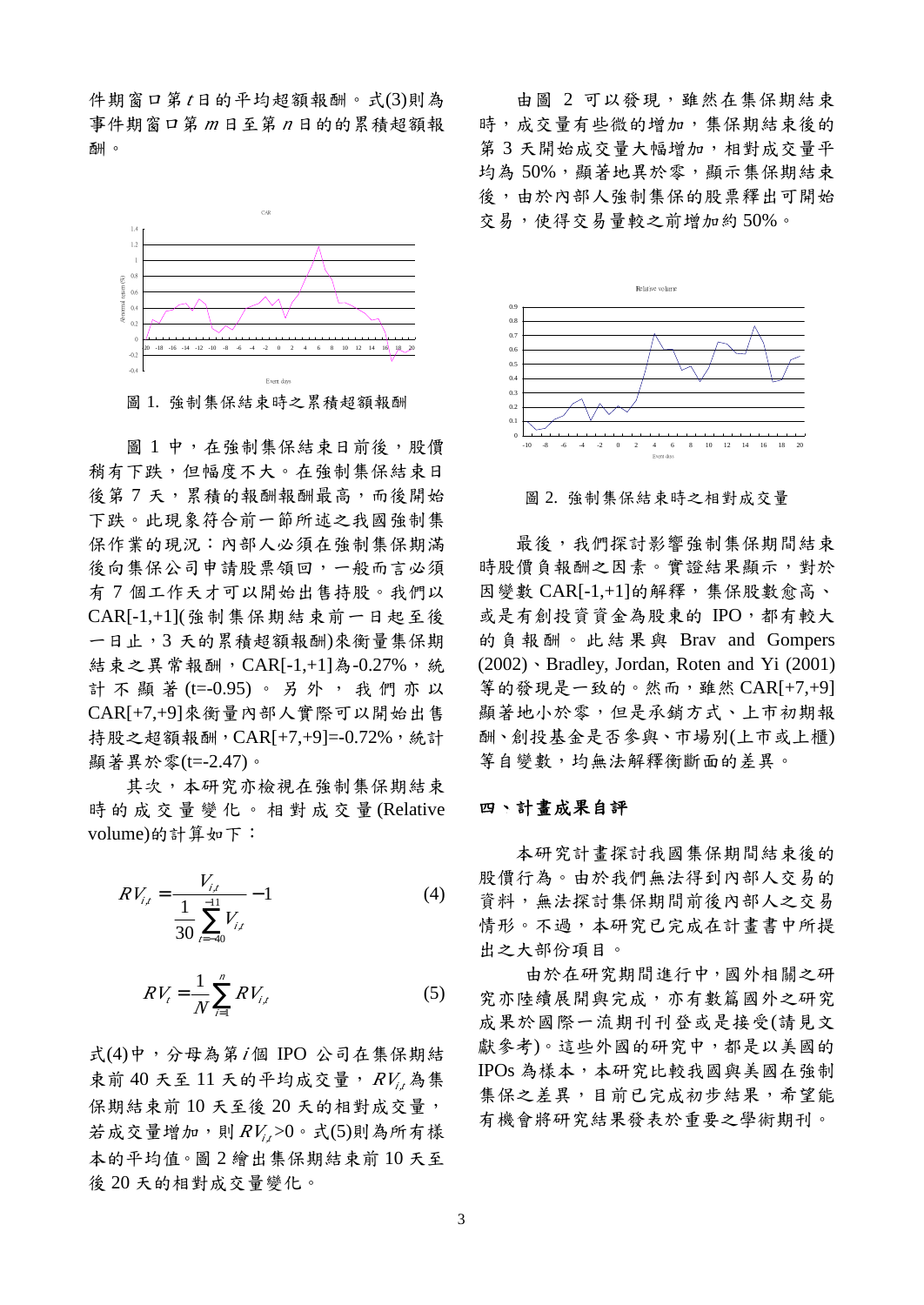件期窗口第*<sup>t</sup>* 日的平均超額報酬。式(3)則為 事件期窗口第 *<sup>m</sup>* 日至第 *<sup>n</sup>* 日的的累積超額報 酬。



圖 1 中,在強制集保結束日前後,股價 稍有下跌,但幅度不大。在強制集保結束日 後第7天,累積的報酬報酬最高,而後開始 下跌。此現象符合前一節所述之我國強制集 保作業的現況:內部人必須在強制集保期滿 後向集保公司申請股票領回,一般而言必須 有 7 個工作天才可以開始出售持股。我們以 CAR[-1,+1](強制集保期結束前一日起至後 一日止,3 天的累積超額報酬)來衡量集保期 結束之異常報酬, CAR[-1,+1]為-0.27%, 統 計不顯著 (t=-0.95)。另外,我們亦以 CAR[+7,+9]來衡量內部人實際可以開始出售 持股之超額報酬,CAR[+7,+9]=-0.72%,統計 顯著異於零(t=-2.47)。

其次,本研究亦檢視在強制集保期結束 時的成交量變化。相對成 交 量 (Relative volume)的計算如下:

$$
RV_{i,t} = \frac{V_{i,t}}{\frac{1}{30} \sum_{t=-40}^{-11} V_{i,t}} - 1
$$
 (4)

$$
RV_{i} = \frac{1}{N} \sum_{i=1}^{n} RV_{i,t}
$$
 (5)

式(4)中,分母為第*<sup>i</sup>* 個 IPO 公司在集保期結 束前 40 天至 11 天的平均成交量, *RVi,t*為集 保期結束前 10 天至後 20 天的相對成交量, 若成交量增加,則 *RVi,t*>0。式(5)則為所有樣 本的平均值。圖 2 繪出集保期結束前 10 天至 後 20 天的相對成交量變化。

由圖 2 可以發現,雖然在集保期結束 時,成交量有些微的增加,集保期結束後的 第3天開始成交量大幅增加,相對成交量平 均為 50%,顯著地異於零,顯示集保期結束 後,由於內部人強制集保的股票釋出可開始 交易,使得交易量較之前增加約 50%。



圖 2. 強制集保結束時之相對成交量

最後,我們探討影響強制集保期間結束 時股價負報酬之因素。實證結果顯示,對於 因變數 CAR[-1,+1]的解釋,集保股數愈高、 或是有創投資資金為股東的 IPO,都有較大 的負報酬。此結果與 Brav and Gompers (2002)、Bradley, Jordan, Roten and Yi (2001) 等的發現是一致的。然而,雖然 CAR[+7,+9] 顯著地小於零,但是承銷方式、上市初期報 酬、創投基金是否參與、市場別(上市或上櫃) 等自變數,均無法解釋衡斷面的差異。

#### 四、計畫成果自評

 本研究計畫探討我國集保期間結束後的 股價行為。由於我們無法得到內部人交易的 資料,無法探討集保期間前後內部人之交易 情形。不過,本研究已完成在計書書中所提 出之大部份項目。

 由於在研究期間進行中,國外相關之研 究亦陸續展開與完成,亦有數篇國外之研究 成果於國際一流期刊刊登或是接受(請見文 獻參考)。這些外國的研究中,都是以美國的 IPOs 為樣本,本研究比較我國與美國在強制 集保之差異,目前已完成初步結果,希望能 有機會將研究結果發表於重要之學術期刊。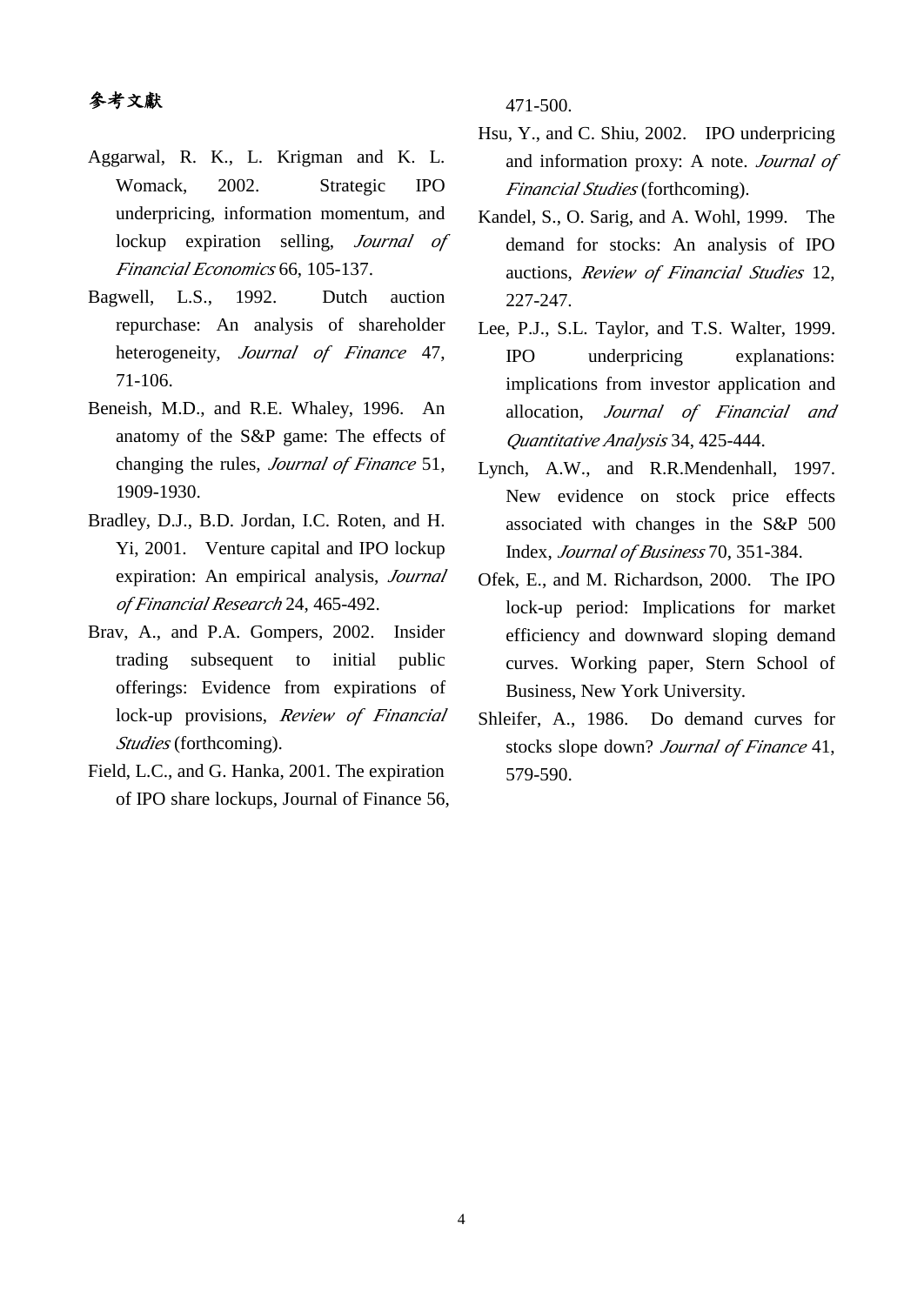## 參考文獻

- Aggarwal, R. K., L. Krigman and K. L. Womack, 2002. Strategic IPO underpricing, information momentum, and lockup expiration selling, *Journal of Financial Economics* 66, 105-137.
- Bagwell, L.S., 1992. Dutch auction repurchase: An analysis of shareholder heterogeneity, *Journal of Finance* 47, 71-106.
- Beneish, M.D., and R.E. Whaley, 1996. An anatomy of the S&P game: The effects of changing the rules, *Journal of Finance* 51, 1909-1930.
- Bradley, D.J., B.D. Jordan, I.C. Roten, and H. Yi, 2001. Venture capital and IPO lockup expiration: An empirical analysis, *Journal of Financial Research* 24, 465-492.
- Brav, A., and P.A. Gompers, 2002. Insider trading subsequent to initial public offerings: Evidence from expirations of lock-up provisions, *Review of Financial Studies* (forthcoming).
- Field, L.C., and G. Hanka, 2001. The expiration of IPO share lockups, Journal of Finance 56,

471-500.

- Hsu, Y., and C. Shiu, 2002. IPO underpricing and information proxy: A note. *Journal of Financial Studies* (forthcoming).
- Kandel, S., O. Sarig, and A. Wohl, 1999. The demand for stocks: An analysis of IPO auctions, *Review of Financial Studies* 12, 227-247.
- Lee, P.J., S.L. Taylor, and T.S. Walter, 1999. IPO underpricing explanations: implications from investor application and allocation, *Journal of Financial and Quantitative Analysis* 34, 425-444.
- Lynch, A.W., and R.R.Mendenhall, 1997. New evidence on stock price effects associated with changes in the S&P 500 Index, *Journal of Business* 70, 351-384.
- Ofek, E., and M. Richardson, 2000. The IPO lock-up period: Implications for market efficiency and downward sloping demand curves. Working paper, Stern School of Business, New York University.
- Shleifer, A., 1986. Do demand curves for stocks slope down? *Journal of Finance* 41, 579-590.